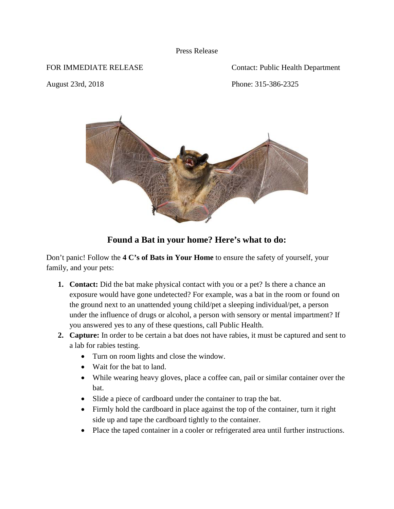## Press Release

FOR IMMEDIATE RELEASE Contact: Public Health Department

August 23rd, 2018 Phone: 315-386-2325



## **Found a Bat in your home? Here's what to do:**

Don't panic! Follow the **4 C's of Bats in Your Home** to ensure the safety of yourself, your family, and your pets:

- **1. Contact:** Did the bat make physical contact with you or a pet? Is there a chance an exposure would have gone undetected? For example, was a bat in the room or found on the ground next to an unattended young child/pet a sleeping individual/pet, a person under the influence of drugs or alcohol, a person with sensory or mental impartment? If you answered yes to any of these questions, call Public Health.
- **2. Capture:** In order to be certain a bat does not have rabies, it must be captured and sent to a lab for rabies testing.
	- Turn on room lights and close the window.
	- Wait for the bat to land.
	- While wearing heavy gloves, place a coffee can, pail or similar container over the bat.
	- Slide a piece of cardboard under the container to trap the bat.
	- Firmly hold the cardboard in place against the top of the container, turn it right side up and tape the cardboard tightly to the container.
	- Place the taped container in a cooler or refrigerated area until further instructions.